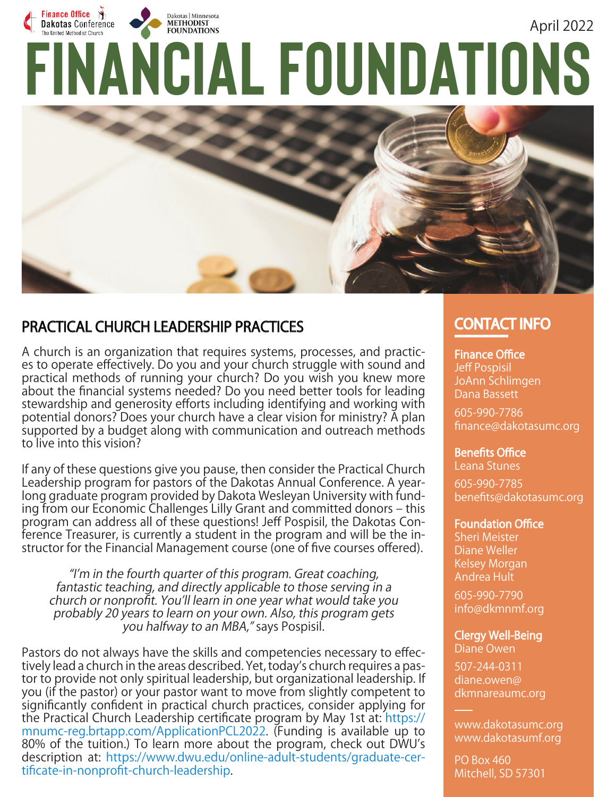# Finance Office  $\mathcal{F}$ E Dakotas Conference<br>
FINANCIAL FOUNDATIONS **Dakotas Conference** April 2022



# PRACTICAL CHURCH LEADERSHIP PRACTICES

A church is an organization that requires systems, processes, and practices to operate effectively. Do you and your church struggle with sound and practical methods of running your church? Do you wish you knew more about the financial systems needed? Do you need better tools for leading stewardship and generosity efforts including identifying and working with potential donors? Does your church have a clear vision for ministry? A plan supported by a budget along with communication and outreach methods to live into this vision?

If any of these questions give you pause, then consider the Practical Church Leadership program for pastors of the Dakotas Annual Conference. A yearlong graduate program provided by Dakota Wesleyan University with funding from our Economic Challenges Lilly Grant and committed donors – this program can address all of these questions! Jeff Pospisil, the Dakotas Conference Treasurer, is currently a student in the program and will be the instructor for the Financial Management course (one of five courses offered).

"I'm in the fourth quarter of this program. Great coaching, fantastic teaching, and directly applicable to those serving in a church or nonprofit. You'll learn in one year what would take you probably 20 years to learn on your own. Also, this program gets you halfway to an MBA," says Pospisil.

Pastors do not always have the skills and competencies necessary to effectively lead a church in the areas described. Yet, today's church requires a pastor to provide not only spiritual leadership, but organizational leadership. If you (if the pastor) or your pastor want to move from slightly competent to significantly confident in practical church practices, consider applying for the Practical Church Leadership certificate program by May 1st at: https:// mnumc-reg.brtapp.com/ApplicationPCL2022. (Funding is available up to 80% of the tuition.) To learn more about the program, check out DWU's description at: https://www.dwu.edu/online-adult-students/graduate-certificate-in-nonprofit-church-leadership.

# **CONTACT INFO**

### **Finance Office**

Jeff Pospisil JoAnn Schlimgen Dana Bassett

605-990-7786 fi nance@dakotasumc.org

**Benefits Office** 

Leana Stunes 605-990-7785

benefits@dakotasumc.org

#### **Foundation Office**

Sheri Meister Diane Weller Kelsey Morgan Andrea Hult

605-990-7790 info@dkmnmf.org

### **Clergy Well-Being**

Diane Owen

507-244-0311 diane.owen@ dkmnareaumc.org

www.dakotasumc.org www.dakotasumf.org

PO Box 460 Mitchell, SD 57301